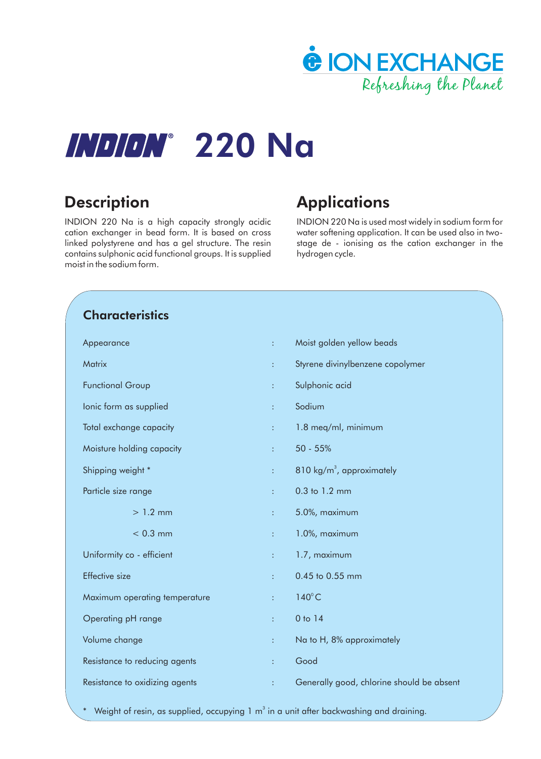

# **INDION° 220 Na**

INDION 220 Na is a high capacity strongly acidic cation exchanger in bead form. It is based on cross linked polystyrene and has a gel structure. The resin contains sulphonic acid functional groups. It is supplied moist in the sodium form.

# **Description Applications**

INDION 220 Na is used most widely in sodium form for water softening application. It can be used also in twostage de - ionising as the cation exchanger in the hydrogen cycle.

# **Characteristics**

| Appearance                     | ÷              | Moist golden yellow beads                 |
|--------------------------------|----------------|-------------------------------------------|
| Matrix                         | ÷              | Styrene divinylbenzene copolymer          |
| <b>Functional Group</b>        | ÷              | Sulphonic acid                            |
| Ionic form as supplied         | ÷              | Sodium                                    |
| Total exchange capacity        | ÷              | 1.8 meg/ml, minimum                       |
| Moisture holding capacity      | ÷.             | 50 - 55%                                  |
| Shipping weight *              | ÷              | $810 \text{ kg/m}^3$ , approximately      |
| Particle size range            | ÷              | 0.3 to 1.2 mm                             |
| $>1.2$ mm                      | ÷              | 5.0%, maximum                             |
| $< 0.3$ mm                     | ÷              | 1.0%, maximum                             |
| Uniformity co - efficient      | ÷.             | 1.7, maximum                              |
| <b>Effective</b> size          | ÷              | 0.45 to 0.55 mm                           |
| Maximum operating temperature  | ÷              | $140^{\circ}$ C                           |
| Operating pH range             | ÷              | 0 to 14                                   |
| Volume change                  | ÷              | Na to H, 8% approximately                 |
| Resistance to reducing agents  | ÷              | Good                                      |
| Resistance to oxidizing agents | $\ddot{\cdot}$ | Generally good, chlorine should be absent |
|                                |                |                                           |

 $*$  Weight of resin, as supplied, occupying 1 m $^3$  in a unit after backwashing and draining.